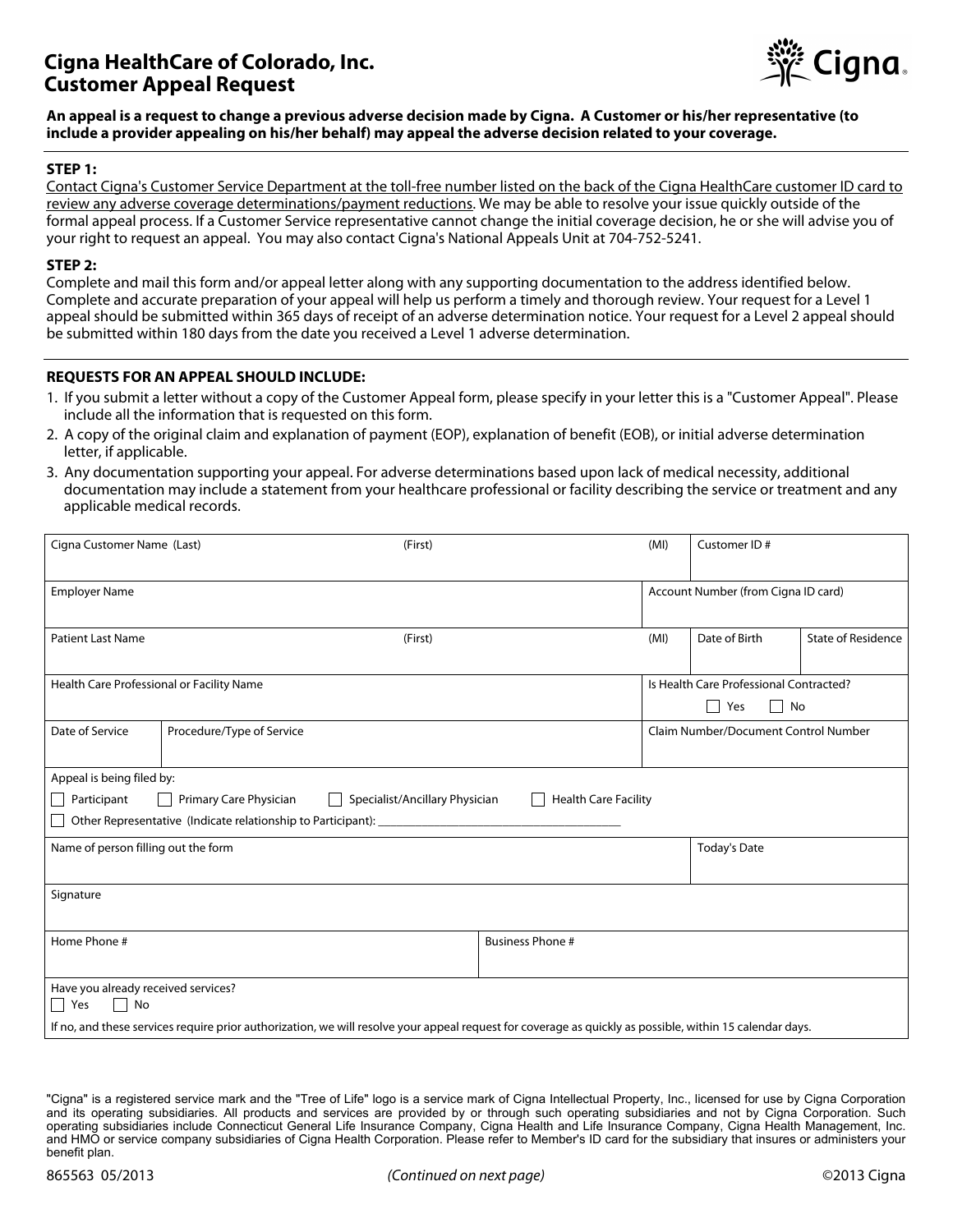# **Cigna HealthCare of Colorado, Inc. Customer Appeal Request**



**An appeal is a request to change a previous adverse decision made by Cigna. A Customer or his/her representative (to include a provider appealing on his/her behalf) may appeal the adverse decision related to your coverage.** 

# **STEP 1:**

Contact Cigna's Customer Service Department at the toll-free number listed on the back of the Cigna HealthCare customer ID card to review any adverse coverage determinations/payment reductions. We may be able to resolve your issue quickly outside of the formal appeal process. If a Customer Service representative cannot change the initial coverage decision, he or she will advise you of your right to request an appeal. You may also contact Cigna's National Appeals Unit at 704-752-5241.

#### **STEP 2:**

Complete and mail this form and/or appeal letter along with any supporting documentation to the address identified below. Complete and accurate preparation of your appeal will help us perform a timely and thorough review. Your request for a Level 1 appeal should be submitted within 365 days of receipt of an adverse determination notice. Your request for a Level 2 appeal should be submitted within 180 days from the date you received a Level 1 adverse determination.

# **REQUESTS FOR AN APPEAL SHOULD INCLUDE:**

- 1. If you submit a letter without a copy of the Customer Appeal form, please specify in your letter this is a "Customer Appeal". Please include all the information that is requested on this form.
- 2. A copy of the original claim and explanation of payment (EOP), explanation of benefit (EOB), or initial adverse determination letter, if applicable.
- 3. Any documentation supporting your appeal. For adverse determinations based upon lack of medical necessity, additional documentation may include a statement from your healthcare professional or facility describing the service or treatment and any applicable medical records.

| <b>Employer Name</b><br>Account Number (from Cigna ID card)<br>Date of Birth<br><b>State of Residence</b><br><b>Patient Last Name</b><br>(MI)<br>(First)<br>Is Health Care Professional Contracted?<br>Health Care Professional or Facility Name<br>No<br>$\Box$<br>Yes<br>Date of Service<br>Procedure/Type of Service<br>Claim Number/Document Control Number<br>Appeal is being filed by:<br>Participant<br>Primary Care Physician<br>Specialist/Ancillary Physician<br><b>Health Care Facility</b><br>$\perp$<br>Other Representative (Indicate relationship to Participant):<br>Name of person filling out the form<br><b>Today's Date</b><br>Signature<br>Home Phone #<br><b>Business Phone #</b><br>Have you already received services?<br>$\Box$ Yes<br>$\Box$ No<br>If no, and these services require prior authorization, we will resolve your appeal request for coverage as quickly as possible, within 15 calendar days. | Cigna Customer Name (Last)<br>(First) |  |  |  | (MI) | Customer ID# |  |  |
|---------------------------------------------------------------------------------------------------------------------------------------------------------------------------------------------------------------------------------------------------------------------------------------------------------------------------------------------------------------------------------------------------------------------------------------------------------------------------------------------------------------------------------------------------------------------------------------------------------------------------------------------------------------------------------------------------------------------------------------------------------------------------------------------------------------------------------------------------------------------------------------------------------------------------------------|---------------------------------------|--|--|--|------|--------------|--|--|
|                                                                                                                                                                                                                                                                                                                                                                                                                                                                                                                                                                                                                                                                                                                                                                                                                                                                                                                                       |                                       |  |  |  |      |              |  |  |
|                                                                                                                                                                                                                                                                                                                                                                                                                                                                                                                                                                                                                                                                                                                                                                                                                                                                                                                                       |                                       |  |  |  |      |              |  |  |
|                                                                                                                                                                                                                                                                                                                                                                                                                                                                                                                                                                                                                                                                                                                                                                                                                                                                                                                                       |                                       |  |  |  |      |              |  |  |
|                                                                                                                                                                                                                                                                                                                                                                                                                                                                                                                                                                                                                                                                                                                                                                                                                                                                                                                                       |                                       |  |  |  |      |              |  |  |
|                                                                                                                                                                                                                                                                                                                                                                                                                                                                                                                                                                                                                                                                                                                                                                                                                                                                                                                                       |                                       |  |  |  |      |              |  |  |
|                                                                                                                                                                                                                                                                                                                                                                                                                                                                                                                                                                                                                                                                                                                                                                                                                                                                                                                                       |                                       |  |  |  |      |              |  |  |
|                                                                                                                                                                                                                                                                                                                                                                                                                                                                                                                                                                                                                                                                                                                                                                                                                                                                                                                                       |                                       |  |  |  |      |              |  |  |
|                                                                                                                                                                                                                                                                                                                                                                                                                                                                                                                                                                                                                                                                                                                                                                                                                                                                                                                                       |                                       |  |  |  |      |              |  |  |
|                                                                                                                                                                                                                                                                                                                                                                                                                                                                                                                                                                                                                                                                                                                                                                                                                                                                                                                                       |                                       |  |  |  |      |              |  |  |
|                                                                                                                                                                                                                                                                                                                                                                                                                                                                                                                                                                                                                                                                                                                                                                                                                                                                                                                                       |                                       |  |  |  |      |              |  |  |
|                                                                                                                                                                                                                                                                                                                                                                                                                                                                                                                                                                                                                                                                                                                                                                                                                                                                                                                                       |                                       |  |  |  |      |              |  |  |
|                                                                                                                                                                                                                                                                                                                                                                                                                                                                                                                                                                                                                                                                                                                                                                                                                                                                                                                                       |                                       |  |  |  |      |              |  |  |

<sup>&</sup>quot;Cigna" is a registered service mark and the "Tree of Life" logo is a service mark of Cigna Intellectual Property, Inc., licensed for use by Cigna Corporation and its operating subsidiaries. All products and services are provided by or through such operating subsidiaries and not by Cigna Corporation. Such operating subsidiaries include Connecticut General Life Insurance Company, Cigna Health and Life Insurance Company, Cigna Health Management, Inc. and HMO or service company subsidiaries of Cigna Health Corporation. Please refer to Member's ID card for the subsidiary that insures or administers your benefit plan.